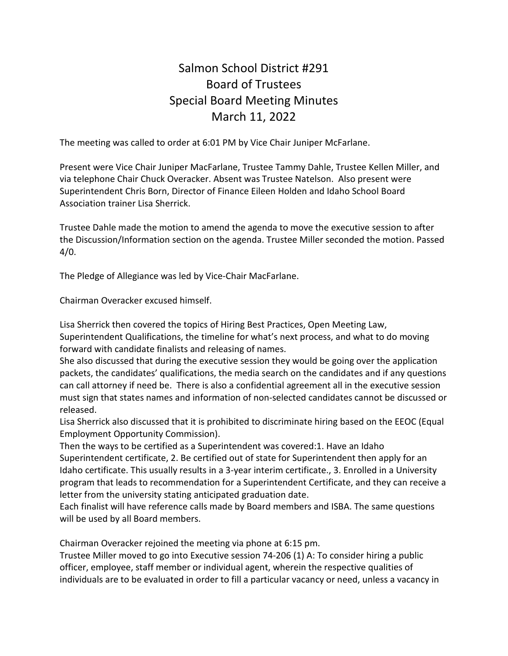## Salmon School District #291 Board of Trustees Special Board Meeting Minutes March 11, 2022

The meeting was called to order at 6:01 PM by Vice Chair Juniper McFarlane.

Present were Vice Chair Juniper MacFarlane, Trustee Tammy Dahle, Trustee Kellen Miller, and via telephone Chair Chuck Overacker. Absent was Trustee Natelson. Also present were Superintendent Chris Born, Director of Finance Eileen Holden and Idaho School Board Association trainer Lisa Sherrick.

Trustee Dahle made the motion to amend the agenda to move the executive session to after the Discussion/Information section on the agenda. Trustee Miller seconded the motion. Passed 4/0.

The Pledge of Allegiance was led by Vice-Chair MacFarlane.

Chairman Overacker excused himself.

Lisa Sherrick then covered the topics of Hiring Best Practices, Open Meeting Law, Superintendent Qualifications, the timeline for what's next process, and what to do moving forward with candidate finalists and releasing of names.

She also discussed that during the executive session they would be going over the application packets, the candidates' qualifications, the media search on the candidates and if any questions can call attorney if need be. There is also a confidential agreement all in the executive session must sign that states names and information of non-selected candidates cannot be discussed or released.

Lisa Sherrick also discussed that it is prohibited to discriminate hiring based on the EEOC (Equal Employment Opportunity Commission).

Then the ways to be certified as a Superintendent was covered:1. Have an Idaho Superintendent certificate, 2. Be certified out of state for Superintendent then apply for an Idaho certificate. This usually results in a 3-year interim certificate., 3. Enrolled in a University program that leads to recommendation for a Superintendent Certificate, and they can receive a letter from the university stating anticipated graduation date.

Each finalist will have reference calls made by Board members and ISBA. The same questions will be used by all Board members.

Chairman Overacker rejoined the meeting via phone at 6:15 pm.

Trustee Miller moved to go into Executive session 74-206 (1) A: To consider hiring a public officer, employee, staff member or individual agent, wherein the respective qualities of individuals are to be evaluated in order to fill a particular vacancy or need, unless a vacancy in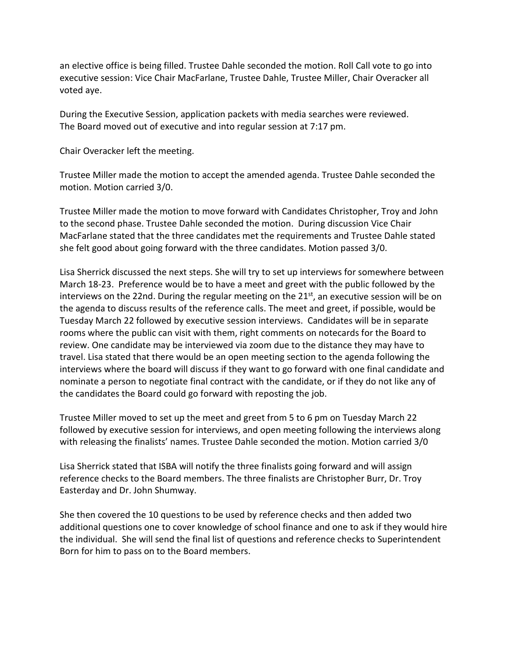an elective office is being filled. Trustee Dahle seconded the motion. Roll Call vote to go into executive session: Vice Chair MacFarlane, Trustee Dahle, Trustee Miller, Chair Overacker all voted aye.

During the Executive Session, application packets with media searches were reviewed. The Board moved out of executive and into regular session at 7:17 pm.

Chair Overacker left the meeting.

Trustee Miller made the motion to accept the amended agenda. Trustee Dahle seconded the motion. Motion carried 3/0.

Trustee Miller made the motion to move forward with Candidates Christopher, Troy and John to the second phase. Trustee Dahle seconded the motion. During discussion Vice Chair MacFarlane stated that the three candidates met the requirements and Trustee Dahle stated she felt good about going forward with the three candidates. Motion passed 3/0.

Lisa Sherrick discussed the next steps. She will try to set up interviews for somewhere between March 18-23. Preference would be to have a meet and greet with the public followed by the interviews on the 22nd. During the regular meeting on the  $21<sup>st</sup>$ , an executive session will be on the agenda to discuss results of the reference calls. The meet and greet, if possible, would be Tuesday March 22 followed by executive session interviews. Candidates will be in separate rooms where the public can visit with them, right comments on notecards for the Board to review. One candidate may be interviewed via zoom due to the distance they may have to travel. Lisa stated that there would be an open meeting section to the agenda following the interviews where the board will discuss if they want to go forward with one final candidate and nominate a person to negotiate final contract with the candidate, or if they do not like any of the candidates the Board could go forward with reposting the job.

Trustee Miller moved to set up the meet and greet from 5 to 6 pm on Tuesday March 22 followed by executive session for interviews, and open meeting following the interviews along with releasing the finalists' names. Trustee Dahle seconded the motion. Motion carried 3/0

Lisa Sherrick stated that ISBA will notify the three finalists going forward and will assign reference checks to the Board members. The three finalists are Christopher Burr, Dr. Troy Easterday and Dr. John Shumway.

She then covered the 10 questions to be used by reference checks and then added two additional questions one to cover knowledge of school finance and one to ask if they would hire the individual. She will send the final list of questions and reference checks to Superintendent Born for him to pass on to the Board members.